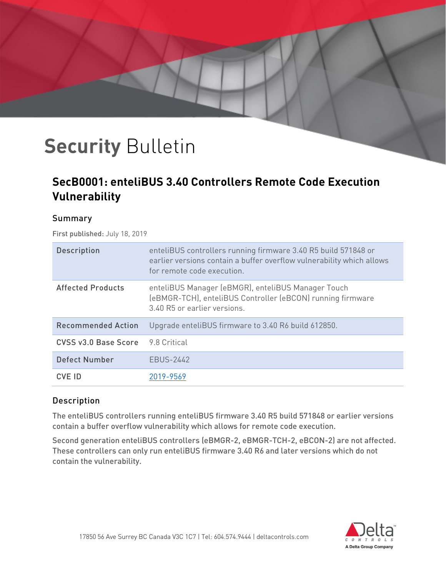## **SecB0001: enteliBUS 3.40 Controllers Remote Code Execution Vulnerability**

#### Summary

First published: July 18, 2019

| <b>Description</b>        | enteliBUS controllers running firmware 3.40 R5 build 571848 or<br>earlier versions contain a buffer overflow vulnerability which allows<br>for remote code execution. |
|---------------------------|-----------------------------------------------------------------------------------------------------------------------------------------------------------------------|
| <b>Affected Products</b>  | enteliBUS Manager (eBMGR), enteliBUS Manager Touch<br>(eBMGR-TCH), enteliBUS Controller (eBCON) running firmware<br>3.40 R5 or earlier versions.                      |
| <b>Recommended Action</b> | Upgrade enteliBUS firmware to 3.40 R6 build 612850.                                                                                                                   |
| CVSS v3.0 Base Score      | 9.8 Critical                                                                                                                                                          |
| <b>Defect Number</b>      | <b>EBUS-2442</b>                                                                                                                                                      |
| CVE ID                    | 2019-9569                                                                                                                                                             |

### Description

The enteliBUS controllers running enteliBUS firmware 3.40 R5 build 571848 or earlier versions contain a buffer overflow vulnerability which allows for remote code execution.

Second generation enteliBUS controllers (eBMGR-2, eBMGR-TCH-2, eBCON-2) are not affected. These controllers can only run enteliBUS firmware 3.40 R6 and later versions which do not contain the vulnerability.

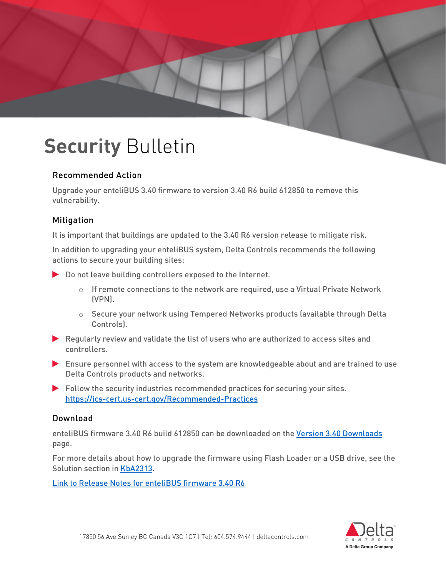#### Recommended Action

Upgrade your enteliBUS 3.40 firmware to version 3.40 R6 build 612850 to remove this vulnerability.

### Mitigation

It is important that buildings are updated to the 3.40 R6 version release to mitigate risk.

In addition to upgrading your enteliBUS system, Delta Controls recommends the following actions to secure your building sites:

- Do not leave building controllers exposed to the Internet.
	- $\circ$  If remote connections to the network are required, use a Virtual Private Network (VPN).
	- $\circ$  Secure your network using Tempered Networks products (available through Delta Controls).
- Regularly review and validate the list of users who are authorized to access sites and controllers.
- Ensure personnel with access to the system are knowledgeable about and are trained to use Delta Controls products and networks.
- $\blacktriangleright$  Follow the security industries recommended practices for securing your sites. <https://ics-cert.us-cert.gov/Recommended-Practices>

#### Download

enteliBUS firmware 3.40 R6 build 612850 can be downloaded on the [Version 3.40 Downloads](https://support.deltacontrols.com/Support/Downloads/V340R1#enteliBUS_Firmware_40eBCON_44_eBMGR_41) page.

For more details about how to upgrade the firmware using Flash Loader or a USB drive, see the Solution section in [KbA2313.](https://support.deltacontrols.com/Support/Kbase/KbA2313)

[Link to Release Notes for enteliBUS firmware 3.40 R6](https://support.deltacontrols.com/Products/ReleaseNotes/ReleaseNotes#OrcaRelease340)

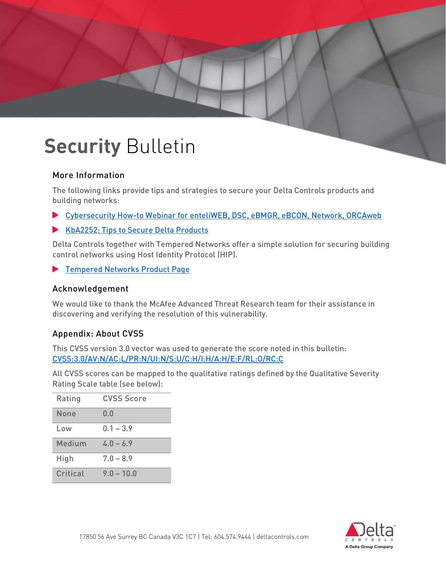### More Information

The following links provide tips and strategies to secure your Delta Controls products and building networks:

- [Cybersecurity How-to Webinar for enteliWEB, DSC, eBMGR, eBCON, Network, ORCAweb](https://support.deltacontrols.com/Support/Webinar/CyberSecurityWebinar)
- [KbA2252: Tips to Secure Delta Products](https://support.deltacontrols.com/Support/Kbase/KbA2252)

Delta Controls together with Tempered Networks offer a simple solution for securing building control networks using Host Identity Protocol (HIP).

[Tempered Networks Product Page](https://support.deltacontrols.com/Peripherals/TemperedNetworks)

#### Acknowledgement

We would like to thank the McAfee Advanced Threat Research team for their assistance in discovering and verifying the resolution of this vulnerability.

### Appendix: About CVSS

This CVSS version 3.0 vector was used to generate the score noted in this bulletin: [CVSS:3.0/AV:N/AC:L/PR:N/UI:N/S:U/C:H/I:H/A:H/E:F/RL:O/RC:C](https://www.first.org/cvss/calculator/3.0#CVSS:3.0/AV:N/AC:L/PR:N/UI:N/S:U/C:H/I:H/A:H/E:F/RL:O/RC:C)

All CVSS scores can be mapped to the qualitative ratings defined by the Qualitative Severity Rating Scale table (see below):

| Rating   | <b>CVSS Score</b> |
|----------|-------------------|
| None     | 0.0               |
| Low      | $0.1 - 3.9$       |
| Medium   | $4.0 - 6.9$       |
| High     | $7.0 - 8.9$       |
| Critical | $9.0 - 10.0$      |